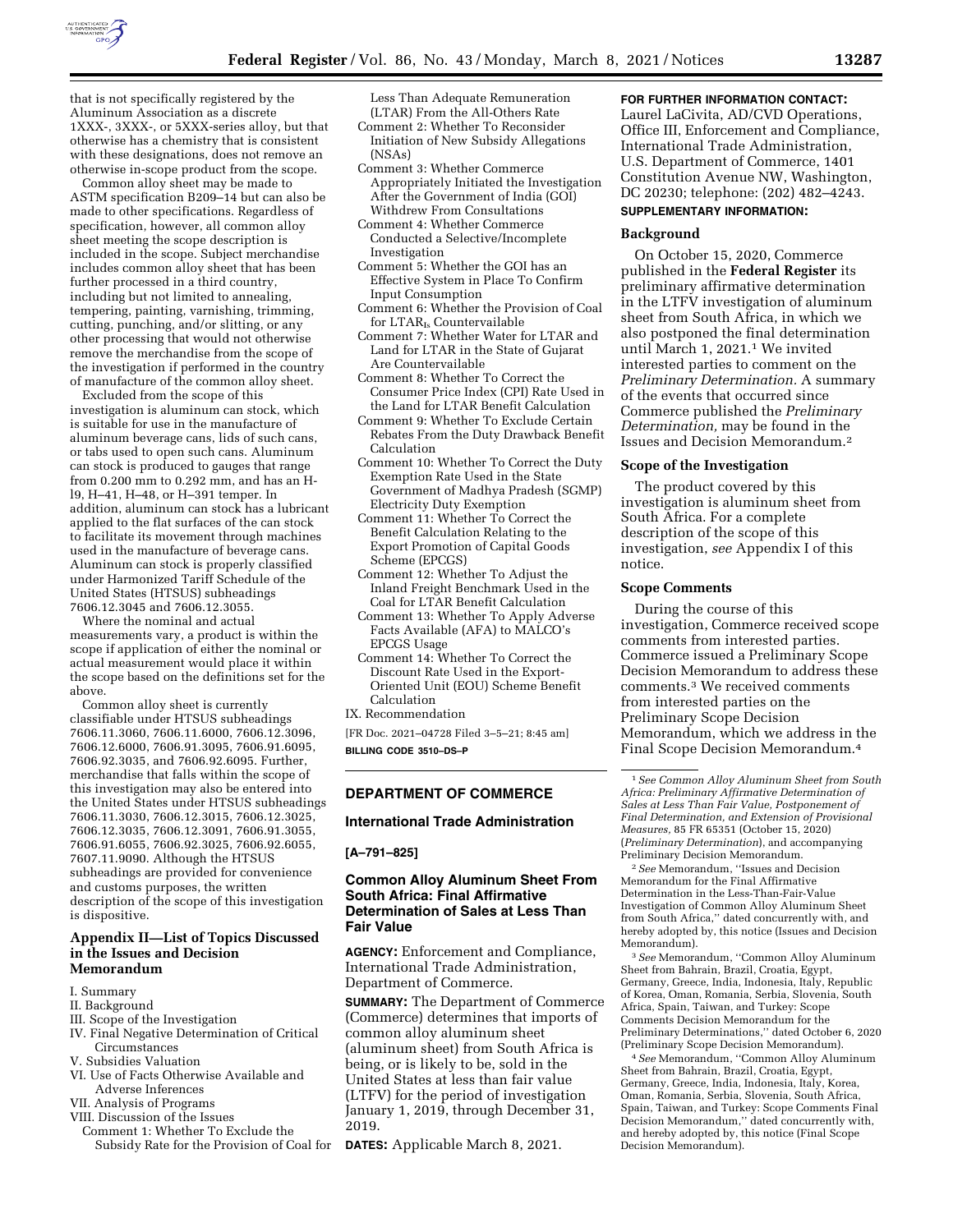

that is not specifically registered by the Aluminum Association as a discrete 1XXX-, 3XXX-, or 5XXX-series alloy, but that otherwise has a chemistry that is consistent with these designations, does not remove an otherwise in-scope product from the scope.

Common alloy sheet may be made to ASTM specification B209–14 but can also be made to other specifications. Regardless of specification, however, all common alloy sheet meeting the scope description is included in the scope. Subject merchandise includes common alloy sheet that has been further processed in a third country, including but not limited to annealing, tempering, painting, varnishing, trimming, cutting, punching, and/or slitting, or any other processing that would not otherwise remove the merchandise from the scope of the investigation if performed in the country of manufacture of the common alloy sheet.

Excluded from the scope of this investigation is aluminum can stock, which is suitable for use in the manufacture of aluminum beverage cans, lids of such cans, or tabs used to open such cans. Aluminum can stock is produced to gauges that range from 0.200 mm to 0.292 mm, and has an Hl9, H–41, H–48, or H–391 temper. In addition, aluminum can stock has a lubricant applied to the flat surfaces of the can stock to facilitate its movement through machines used in the manufacture of beverage cans. Aluminum can stock is properly classified under Harmonized Tariff Schedule of the United States (HTSUS) subheadings 7606.12.3045 and 7606.12.3055.

Where the nominal and actual measurements vary, a product is within the scope if application of either the nominal or actual measurement would place it within the scope based on the definitions set for the above.

Common alloy sheet is currently classifiable under HTSUS subheadings 7606.11.3060, 7606.11.6000, 7606.12.3096, 7606.12.6000, 7606.91.3095, 7606.91.6095, 7606.92.3035, and 7606.92.6095. Further, merchandise that falls within the scope of this investigation may also be entered into the United States under HTSUS subheadings 7606.11.3030, 7606.12.3015, 7606.12.3025, 7606.12.3035, 7606.12.3091, 7606.91.3055, 7606.91.6055, 7606.92.3025, 7606.92.6055, 7607.11.9090. Although the HTSUS subheadings are provided for convenience and customs purposes, the written description of the scope of this investigation is dispositive.

# **Appendix II—List of Topics Discussed in the Issues and Decision Memorandum**

- I. Summary
- II. Background
- III. Scope of the Investigation
- IV. Final Negative Determination of Critical Circumstances
- V. Subsidies Valuation
- VI. Use of Facts Otherwise Available and Adverse Inferences
- VII. Analysis of Programs
- VIII. Discussion of the Issues
- Comment 1: Whether To Exclude the Subsidy Rate for the Provision of Coal for **DATES:** Applicable March 8, 2021.

Less Than Adequate Remuneration (LTAR) From the All-Others Rate

- Comment 2: Whether To Reconsider Initiation of New Subsidy Allegations (NSAs)
- Comment 3: Whether Commerce Appropriately Initiated the Investigation After the Government of India (GOI) Withdrew From Consultations
- Comment 4: Whether Commerce Conducted a Selective/Incomplete Investigation
- Comment 5: Whether the GOI has an Effective System in Place To Confirm Input Consumption
- Comment 6: Whether the Provision of Coal for LTARIs Countervailable
- Comment 7: Whether Water for LTAR and Land for LTAR in the State of Gujarat Are Countervailable
- Comment 8: Whether To Correct the Consumer Price Index (CPI) Rate Used in the Land for LTAR Benefit Calculation
- Comment 9: Whether To Exclude Certain Rebates From the Duty Drawback Benefit Calculation
- Comment 10: Whether To Correct the Duty Exemption Rate Used in the State Government of Madhya Pradesh (SGMP) Electricity Duty Exemption
- Comment 11: Whether To Correct the Benefit Calculation Relating to the Export Promotion of Capital Goods Scheme (EPCGS)
- Comment 12: Whether To Adjust the Inland Freight Benchmark Used in the Coal for LTAR Benefit Calculation
- Comment 13: Whether To Apply Adverse Facts Available (AFA) to MALCO's EPCGS Usage
- Comment 14: Whether To Correct the Discount Rate Used in the Export-Oriented Unit (EOU) Scheme Benefit Calculation
- IX. Recommendation

[FR Doc. 2021–04728 Filed 3–5–21; 8:45 am] **BILLING CODE 3510–DS–P** 

# **DEPARTMENT OF COMMERCE**

# **International Trade Administration**

## **[A–791–825]**

# **Common Alloy Aluminum Sheet From South Africa: Final Affirmative Determination of Sales at Less Than Fair Value**

**AGENCY:** Enforcement and Compliance, International Trade Administration, Department of Commerce.

**SUMMARY:** The Department of Commerce (Commerce) determines that imports of common alloy aluminum sheet (aluminum sheet) from South Africa is being, or is likely to be, sold in the United States at less than fair value (LTFV) for the period of investigation January 1, 2019, through December 31, 2019.

#### **FOR FURTHER INFORMATION CONTACT:**

Laurel LaCivita, AD/CVD Operations, Office III, Enforcement and Compliance, International Trade Administration, U.S. Department of Commerce, 1401 Constitution Avenue NW, Washington, DC 20230; telephone: (202) 482–4243.

# **SUPPLEMENTARY INFORMATION:**

#### **Background**

On October 15, 2020, Commerce published in the **Federal Register** its preliminary affirmative determination in the LTFV investigation of aluminum sheet from South Africa, in which we also postponed the final determination until March 1, 2021.1 We invited interested parties to comment on the *Preliminary Determination.* A summary of the events that occurred since Commerce published the *Preliminary Determination,* may be found in the Issues and Decision Memorandum.2

#### **Scope of the Investigation**

The product covered by this investigation is aluminum sheet from South Africa. For a complete description of the scope of this investigation, *see* Appendix I of this notice.

### **Scope Comments**

During the course of this investigation, Commerce received scope comments from interested parties. Commerce issued a Preliminary Scope Decision Memorandum to address these comments.3 We received comments from interested parties on the Preliminary Scope Decision Memorandum, which we address in the Final Scope Decision Memorandum.4

1*See Common Alloy Aluminum Sheet from South Africa: Preliminary Affirmative Determination of Sales at Less Than Fair Value, Postponement of Final Determination, and Extension of Provisional Measures,* 85 FR 65351 (October 15, 2020) (*Preliminary Determination*), and accompanying Preliminary Decision Memorandum.

2*See* Memorandum, ''Issues and Decision Memorandum for the Final Affirmative Determination in the Less-Than-Fair-Value Investigation of Common Alloy Aluminum Sheet from South Africa,'' dated concurrently with, and hereby adopted by, this notice (Issues and Decision Memorandum).

3*See* Memorandum, ''Common Alloy Aluminum Sheet from Bahrain, Brazil, Croatia, Egypt, Germany, Greece, India, Indonesia, Italy, Republic of Korea, Oman, Romania, Serbia, Slovenia, South Africa, Spain, Taiwan, and Turkey: Scope Comments Decision Memorandum for the Preliminary Determinations,'' dated October 6, 2020 (Preliminary Scope Decision Memorandum).

4*See* Memorandum, ''Common Alloy Aluminum Sheet from Bahrain, Brazil, Croatia, Egypt, Germany, Greece, India, Indonesia, Italy, Korea, Oman, Romania, Serbia, Slovenia, South Africa, Spain, Taiwan, and Turkey: Scope Comments Final Decision Memorandum,'' dated concurrently with, and hereby adopted by, this notice (Final Scope Decision Memorandum).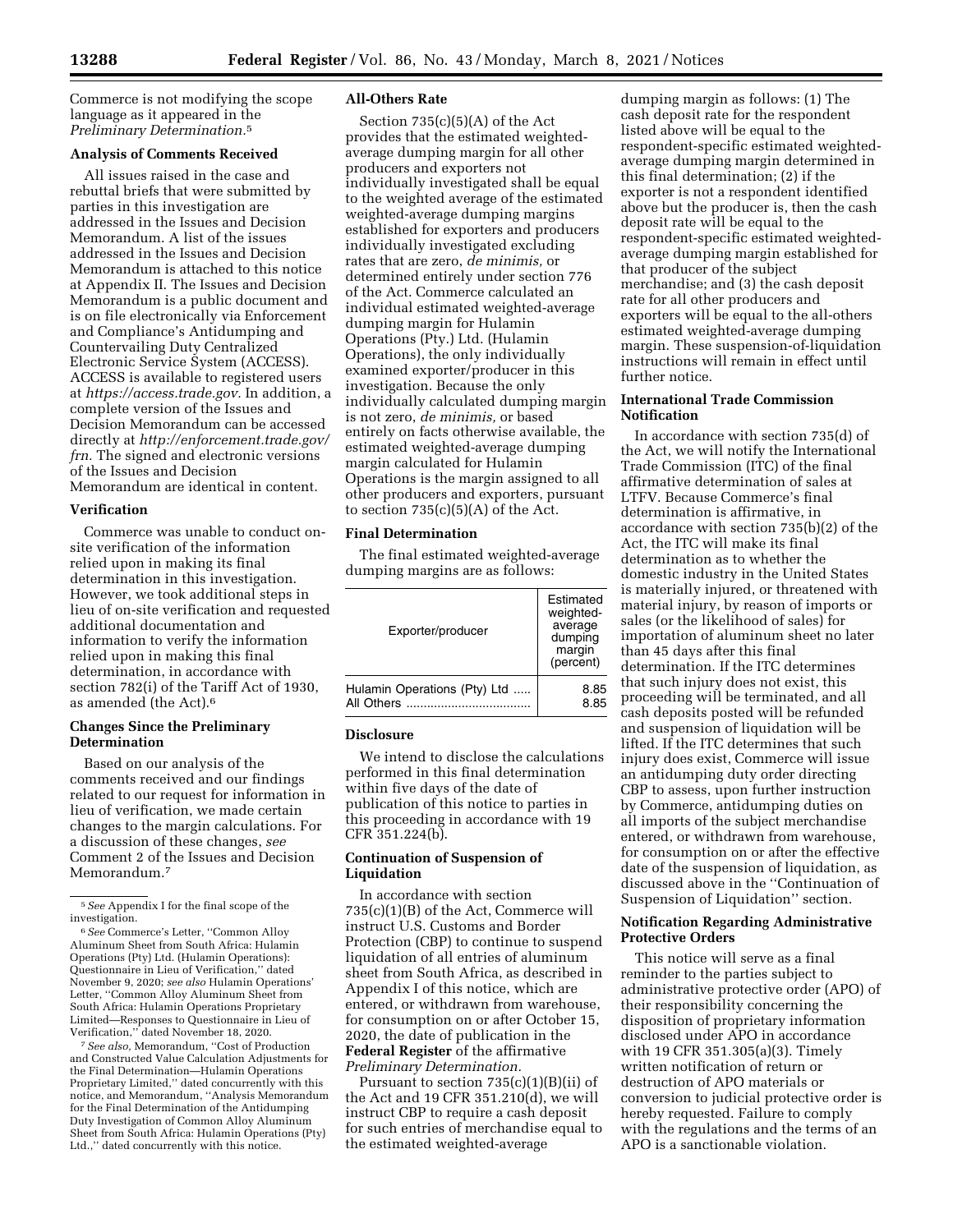Commerce is not modifying the scope language as it appeared in the *Preliminary Determination.*5

#### **Analysis of Comments Received**

All issues raised in the case and rebuttal briefs that were submitted by parties in this investigation are addressed in the Issues and Decision Memorandum. A list of the issues addressed in the Issues and Decision Memorandum is attached to this notice at Appendix II. The Issues and Decision Memorandum is a public document and is on file electronically via Enforcement and Compliance's Antidumping and Countervailing Duty Centralized Electronic Service System (ACCESS). ACCESS is available to registered users at *[https://access.trade.gov.](https://access.trade.gov)* In addition, a complete version of the Issues and Decision Memorandum can be accessed directly at *[http://enforcement.trade.gov/](http://enforcement.trade.gov/frn)  [frn.](http://enforcement.trade.gov/frn)* The signed and electronic versions of the Issues and Decision Memorandum are identical in content.

#### **Verification**

Commerce was unable to conduct onsite verification of the information relied upon in making its final determination in this investigation. However, we took additional steps in lieu of on-site verification and requested additional documentation and information to verify the information relied upon in making this final determination, in accordance with section 782(i) of the Tariff Act of 1930, as amended (the Act).6

## **Changes Since the Preliminary Determination**

Based on our analysis of the comments received and our findings related to our request for information in lieu of verification, we made certain changes to the margin calculations. For a discussion of these changes, *see*  Comment 2 of the Issues and Decision Memorandum.7

5*See* Appendix I for the final scope of the investigation.

7*See also,* Memorandum, ''Cost of Production and Constructed Value Calculation Adjustments for the Final Determination—Hulamin Operations Proprietary Limited,'' dated concurrently with this notice, and Memorandum, ''Analysis Memorandum for the Final Determination of the Antidumping Duty Investigation of Common Alloy Aluminum Sheet from South Africa: Hulamin Operations (Pty) Ltd.,'' dated concurrently with this notice.

# **All-Others Rate**

Section  $735(c)(5)(A)$  of the Act provides that the estimated weightedaverage dumping margin for all other producers and exporters not individually investigated shall be equal to the weighted average of the estimated weighted-average dumping margins established for exporters and producers individually investigated excluding rates that are zero, *de minimis,* or determined entirely under section 776 of the Act. Commerce calculated an individual estimated weighted-average dumping margin for Hulamin Operations (Pty.) Ltd. (Hulamin Operations), the only individually examined exporter/producer in this investigation. Because the only individually calculated dumping margin is not zero, *de minimis,* or based entirely on facts otherwise available, the estimated weighted-average dumping margin calculated for Hulamin Operations is the margin assigned to all other producers and exporters, pursuant to section  $735(c)(5)(A)$  of the Act.

# **Final Determination**

The final estimated weighted-average dumping margins are as follows:

| Exporter/producer            | Estimated<br>weighted-<br>average<br>dumping<br>margin<br>(percent) |
|------------------------------|---------------------------------------------------------------------|
| Hulamin Operations (Pty) Ltd | 8.85                                                                |
| All Others                   | 8.85                                                                |

## **Disclosure**

We intend to disclose the calculations performed in this final determination within five days of the date of publication of this notice to parties in this proceeding in accordance with 19 CFR 351.224(b).

# **Continuation of Suspension of Liquidation**

In accordance with section 735(c)(1)(B) of the Act, Commerce will instruct U.S. Customs and Border Protection (CBP) to continue to suspend liquidation of all entries of aluminum sheet from South Africa, as described in Appendix I of this notice, which are entered, or withdrawn from warehouse, for consumption on or after October 15, 2020, the date of publication in the **Federal Register** of the affirmative *Preliminary Determination.* 

Pursuant to section  $735(c)(1)(B)(ii)$  of the Act and 19 CFR 351.210(d), we will instruct CBP to require a cash deposit for such entries of merchandise equal to the estimated weighted-average

dumping margin as follows: (1) The cash deposit rate for the respondent listed above will be equal to the respondent-specific estimated weightedaverage dumping margin determined in this final determination; (2) if the exporter is not a respondent identified above but the producer is, then the cash deposit rate will be equal to the respondent-specific estimated weightedaverage dumping margin established for that producer of the subject merchandise; and (3) the cash deposit rate for all other producers and exporters will be equal to the all-others estimated weighted-average dumping margin. These suspension-of-liquidation instructions will remain in effect until further notice.

# **International Trade Commission Notification**

In accordance with section 735(d) of the Act, we will notify the International Trade Commission (ITC) of the final affirmative determination of sales at LTFV. Because Commerce's final determination is affirmative, in accordance with section 735(b)(2) of the Act, the ITC will make its final determination as to whether the domestic industry in the United States is materially injured, or threatened with material injury, by reason of imports or sales (or the likelihood of sales) for importation of aluminum sheet no later than 45 days after this final determination. If the ITC determines that such injury does not exist, this proceeding will be terminated, and all cash deposits posted will be refunded and suspension of liquidation will be lifted. If the ITC determines that such injury does exist, Commerce will issue an antidumping duty order directing CBP to assess, upon further instruction by Commerce, antidumping duties on all imports of the subject merchandise entered, or withdrawn from warehouse, for consumption on or after the effective date of the suspension of liquidation, as discussed above in the ''Continuation of Suspension of Liquidation'' section.

# **Notification Regarding Administrative Protective Orders**

This notice will serve as a final reminder to the parties subject to administrative protective order (APO) of their responsibility concerning the disposition of proprietary information disclosed under APO in accordance with 19 CFR 351.305(a)(3). Timely written notification of return or destruction of APO materials or conversion to judicial protective order is hereby requested. Failure to comply with the regulations and the terms of an APO is a sanctionable violation.

<sup>6</sup>*See* Commerce's Letter, ''Common Alloy Aluminum Sheet from South Africa: Hulamin Operations (Pty) Ltd. (Hulamin Operations): Questionnaire in Lieu of Verification,'' dated November 9, 2020; *see also* Hulamin Operations' Letter, ''Common Alloy Aluminum Sheet from South Africa: Hulamin Operations Proprietary Limited—Responses to Questionnaire in Lieu of Verification,'' dated November 18, 2020.